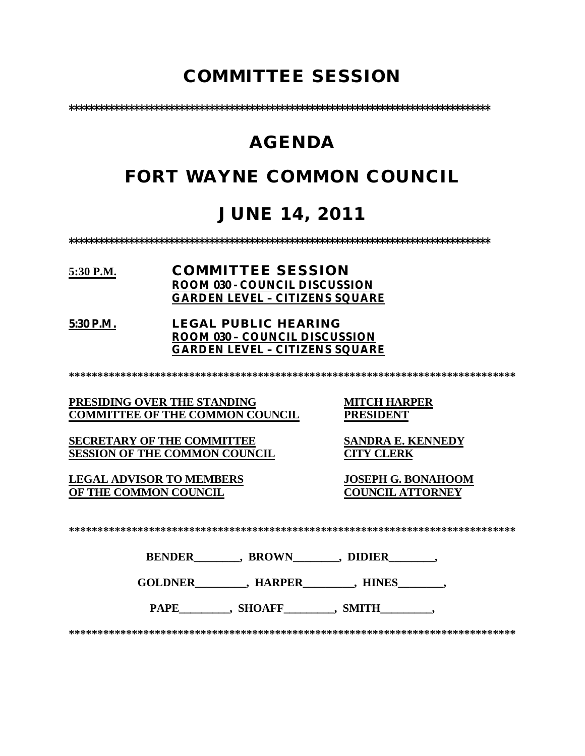# **COMMITTEE SESSION**

**\*\*\*\*\*\*\*\*\*\*\*\*\*\*\*\*\*\*\*\*\*\*\*\*\*\*\*\*\*\*\*\*\*\*\*\*\*\*\*\*\*\*\*\*\*\*\*\*\*\*\*\*\*\*\*\*\*\*\*\*\*\*\*\*\*\*\*\*\*\*\*\*\*\*\*\*\*\*\*\*\*\*\*\***

# **AGENDA**

# **FORT WAYNE COMMON COUNCIL**

# **JUNE 14, 2011**

**\*\*\*\*\*\*\*\*\*\*\*\*\*\*\*\*\*\*\*\*\*\*\*\*\*\*\*\*\*\*\*\*\*\*\*\*\*\*\*\*\*\*\*\*\*\*\*\*\*\*\*\*\*\*\*\*\*\*\*\*\*\*\*\*\*\*\*\*\*\*\*\*\*\*\*\*\*\*\*\*\*\*\*\***

### **5:30 P.M. COMMITTEE SESSION ROOM 030 - COUNCIL DISCUSSION GARDEN LEVEL – CITIZENS SQUARE**

**5:30 P.M. LEGAL PUBLIC HEARING ROOM 030 – COUNCIL DISCUSSION GARDEN LEVEL – CITIZENS SQUARE**

**\*\*\*\*\*\*\*\*\*\*\*\*\*\*\*\*\*\*\*\*\*\*\*\*\*\*\*\*\*\*\*\*\*\*\*\*\*\*\*\*\*\*\*\*\*\*\*\*\*\*\*\*\*\*\*\*\*\*\*\*\*\*\*\*\*\*\*\*\*\*\*\*\*\*\*\*\*\***

**PRESIDING OVER THE STANDING MITCH HARPER COMMITTEE OF THE COMMON COUNCIL** 

**SECRETARY OF THE COMMITTEE SANDRA E. KENNEDY**<br>**SESSION OF THE COMMON COUNCIL CITY CLERK SESSION OF THE COMMON COUNCIL** 

**LEGAL ADVISOR TO MEMBERS JOSEPH G. BONAHOOM OF THE COMMON COUNCIL** 

**\*\*\*\*\*\*\*\*\*\*\*\*\*\*\*\*\*\*\*\*\*\*\*\*\*\*\*\*\*\*\*\*\*\*\*\*\*\*\*\*\*\*\*\*\*\*\*\*\*\*\*\*\*\*\*\*\*\*\*\*\*\*\*\*\*\*\*\*\*\*\*\*\*\*\*\*\*\***

**BENDER\_\_\_\_\_\_\_\_, BROWN\_\_\_\_\_\_\_\_, DIDIER\_\_\_\_\_\_\_\_,** 

**GOLDNER\_\_\_\_\_\_\_\_\_, HARPER\_\_\_\_\_\_\_\_\_, HINES\_\_\_\_\_\_\_\_,** 

PAPE\_\_\_\_\_\_\_\_\_, SHOAFF\_\_\_\_\_\_\_\_, SMITH\_\_\_\_\_\_\_\_\_,

**\*\*\*\*\*\*\*\*\*\*\*\*\*\*\*\*\*\*\*\*\*\*\*\*\*\*\*\*\*\*\*\*\*\*\*\*\*\*\*\*\*\*\*\*\*\*\*\*\*\*\*\*\*\*\*\*\*\*\*\*\*\*\*\*\*\*\*\*\*\*\*\*\*\*\*\*\*\***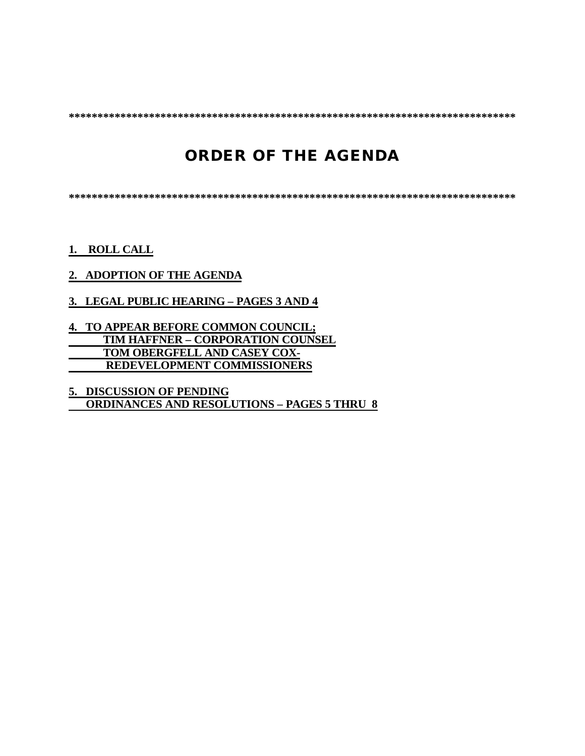**\*\*\*\*\*\*\*\*\*\*\*\*\*\*\*\*\*\*\*\*\*\*\*\*\*\*\*\*\*\*\*\*\*\*\*\*\*\*\*\*\*\*\*\*\*\*\*\*\*\*\*\*\*\*\*\*\*\*\*\*\*\*\*\*\*\*\*\*\*\*\*\*\*\*\*\*\*\***

# **ORDER OF THE AGENDA**

**\*\*\*\*\*\*\*\*\*\*\*\*\*\*\*\*\*\*\*\*\*\*\*\*\*\*\*\*\*\*\*\*\*\*\*\*\*\*\*\*\*\*\*\*\*\*\*\*\*\*\*\*\*\*\*\*\*\*\*\*\*\*\*\*\*\*\*\*\*\*\*\*\*\*\*\*\*\***

**1. ROLL CALL**

#### **2. ADOPTION OF THE AGENDA**

#### **3. LEGAL PUBLIC HEARING – PAGES 3 AND 4**

#### **4. TO APPEAR BEFORE COMMON COUNCIL; TIM HAFFNER – CORPORATION COUNSEL TOM OBERGFELL AND CASEY COX- REDEVELOPMENT COMMISSIONERS**

**5. DISCUSSION OF PENDING ORDINANCES AND RESOLUTIONS – PAGES 5 THRU 8**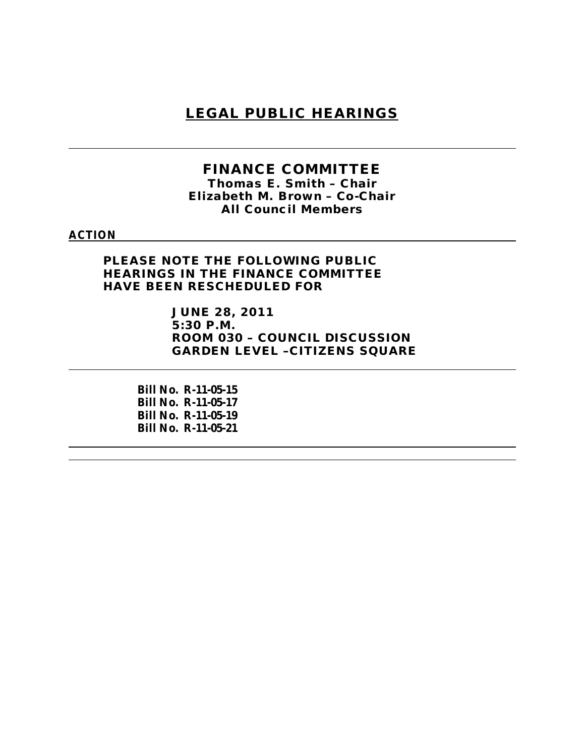# **LEGAL PUBLIC HEARINGS**

#### **FINANCE COMMITTEE** *Thomas E. Smith – Chair*

*Elizabeth M. Brown – Co-Chair All Council Members*

#### **ACTION**

**PLEASE NOTE THE FOLLOWING PUBLIC HEARINGS IN THE FINANCE COMMITTEE HAVE BEEN RESCHEDULED FOR** 

> **JUNE 28, 2011 5:30 P.M. ROOM 030 – COUNCIL DISCUSSION GARDEN LEVEL –CITIZENS SQUARE**

**Bill No. R-11-05-15 Bill No. R-11-05-17 Bill No. R-11-05-19 Bill No. R-11-05-21**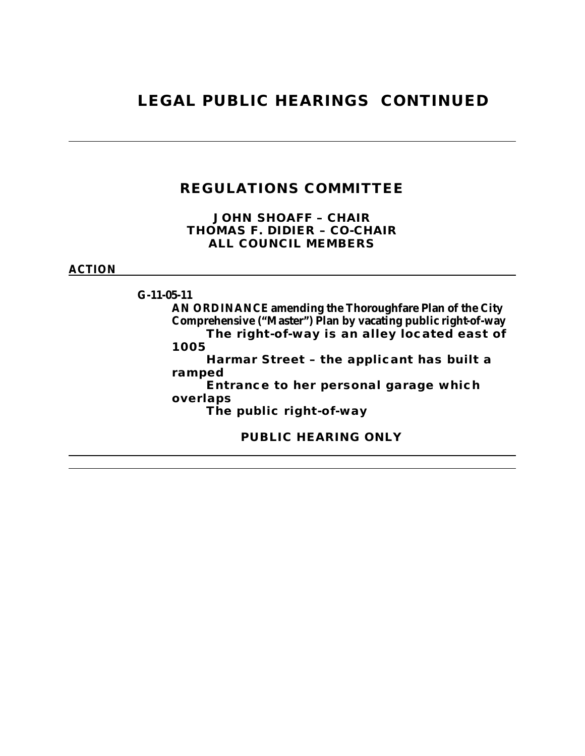# **LEGAL PUBLIC HEARINGS CONTINUED**

# **REGULATIONS COMMITTEE**

**JOHN SHOAFF – CHAIR THOMAS F. DIDIER – CO-CHAIR ALL COUNCIL MEMBERS**

**ACTION**

**G-11-05-11 AN ORDINANCE amending the Thoroughfare Plan of the City Comprehensive ("Master") Plan by vacating public right-of-way The right-of-way is an alley located east of 1005 Harmar Street – the applicant has built a ramped Entrance to her personal garage which overlaps The public right-of-way PUBLIC HEARING ONLY**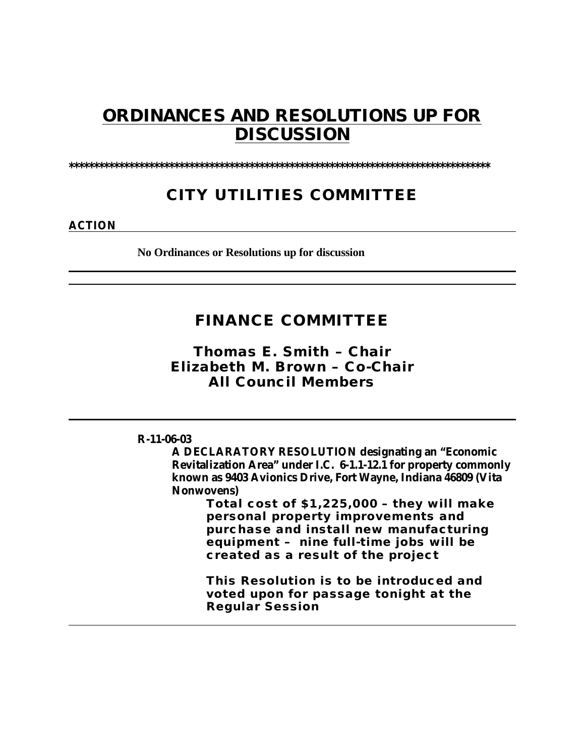# **ORDINANCES AND RESOLUTIONS UP FOR DISCUSSION**

**\*\*\*\*\*\*\*\*\*\*\*\*\*\*\*\*\*\*\*\*\*\*\*\*\*\*\*\*\*\*\*\*\*\*\*\*\*\*\*\*\*\*\*\*\*\*\*\*\*\*\*\*\*\*\*\*\*\*\*\*\*\*\*\*\*\*\*\*\*\*\*\*\*\*\*\*\*\*\*\*\*\*\*\***

# **CITY UTILITIES COMMITTEE**

**ACTION**

**No Ordinances or Resolutions up for discussion**

# **FINANCE COMMITTEE**

*Thomas E. Smith – Chair Elizabeth M. Brown – Co-Chair All Council Members*

#### **R-11-06-03**

**A DECLARATORY RESOLUTION designating an "Economic Revitalization Area" under I.C. 6-1.1-12.1 for property commonly known as 9403 Avionics Drive, Fort Wayne, Indiana 46809 (Vita Nonwovens)**

> **Total cost of \$1,225,000 – they will make personal property improvements and purchase and install new manufacturing equipment – nine full-time jobs will be created as a result of the project**

**This Resolution is to be introduced and voted upon for passage tonight at the Regular Session**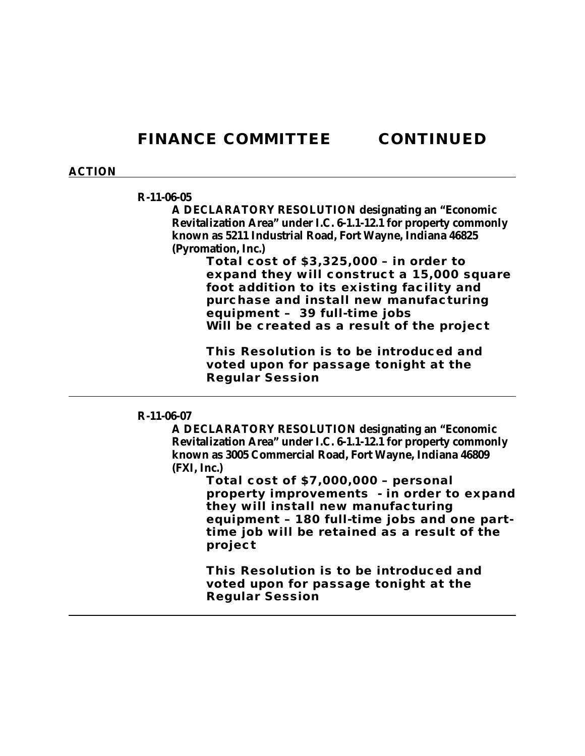#### **ACTION**

#### **R-11-06-05**

**A DECLARATORY RESOLUTION designating an "Economic Revitalization Area" under I.C. 6-1.1-12.1 for property commonly known as 5211 Industrial Road, Fort Wayne, Indiana 46825 (Pyromation, Inc.)**

> **Total cost of \$3,325,000 – in order to expand they will construct a 15,000 square foot addition to its existing facility and purchase and install new manufacturing equipment – 39 full-time jobs Will be created as a result of the project**

**This Resolution is to be introduced and voted upon for passage tonight at the Regular Session**

#### **R-11-06-07**

**A DECLARATORY RESOLUTION designating an "Economic Revitalization Area" under I.C. 6-1.1-12.1 for property commonly known as 3005 Commercial Road, Fort Wayne, Indiana 46809 (FXI, Inc.)**

> **Total cost of \$7,000,000 – personal property improvements - in order to expand they will install new manufacturing equipment – 180 full-time jobs and one parttime job will be retained as a result of the project**

**This Resolution is to be introduced and voted upon for passage tonight at the Regular Session**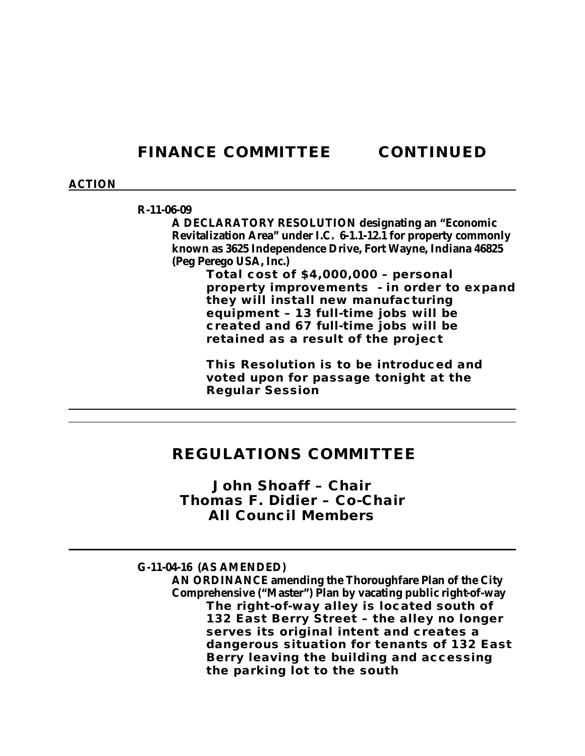#### **ACTION**

#### **R-11-06-09**

**A DECLARATORY RESOLUTION designating an "Economic Revitalization Area" under I.C. 6-1.1-12.1 for property commonly known as 3625 Independence Drive, Fort Wayne, Indiana 46825 (Peg Perego USA, Inc.)**

> **Total cost of \$4,000,000 – personal property improvements - in order to expand they will install new manufacturing equipment – 13 full-time jobs will be created and 67 full-time jobs will be retained as a result of the project**

**This Resolution is to be introduced and voted upon for passage tonight at the Regular Session**

### **REGULATIONS COMMITTEE**

*John Shoaff – Chair Thomas F. Didier – Co-Chair All Council Members*

**G-11-04-16 (AS AMENDED) AN ORDINANCE amending the Thoroughfare Plan of the City Comprehensive ("Master") Plan by vacating public right-of-way The right-of-way alley is located south of 132 East Berry Street – the alley no longer serves its original intent and creates a dangerous situation for tenants of 132 East Berry leaving the building and accessing the parking lot to the south**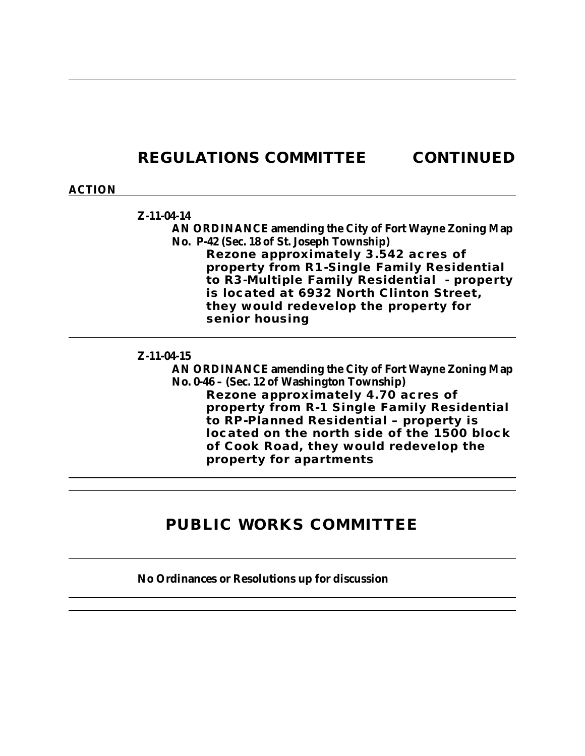# **REGULATIONS COMMITTEE CONTINUED**

#### **ACTION**

#### **Z-11-04-14**

**AN ORDINANCE amending the City of Fort Wayne Zoning Map No. P-42 (Sec. 18 of St. Joseph Township) Rezone approximately 3.542 acres of property from R1-Single Family Residential to R3-Multiple Family Residential - property is located at 6932 North Clinton Street, they would redevelop the property for senior housing**

#### **Z-11-04-15**

**AN ORDINANCE amending the City of Fort Wayne Zoning Map No. 0-46 – (Sec. 12 of Washington Township) Rezone approximately 4.70 acres of property from R-1 Single Family Residential to RP-Planned Residential – property is located on the north side of the 1500 block of Cook Road, they would redevelop the property for apartments** 

# **PUBLIC WORKS COMMITTEE**

#### **No Ordinances or Resolutions up for discussion**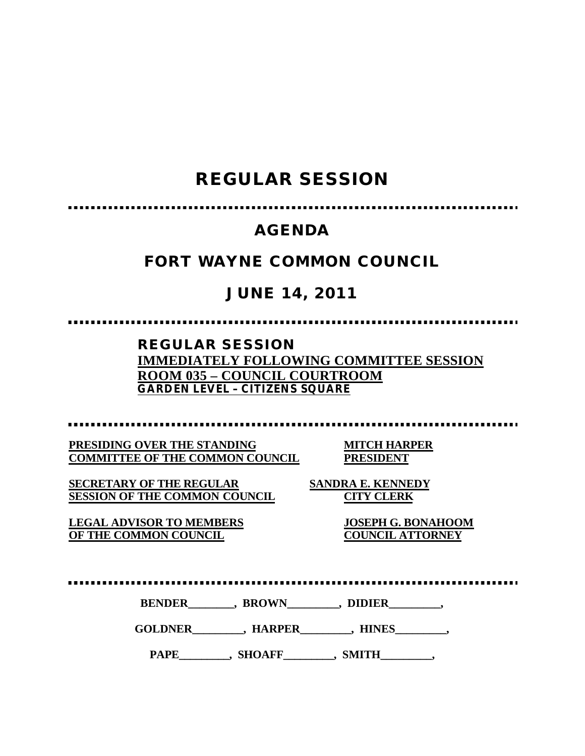# **REGULAR SESSION**

# **AGENDA**

# **FORT WAYNE COMMON COUNCIL**

# **JUNE 14, 2011**

**REGULAR SESSION IMMEDIATELY FOLLOWING COMMITTEE SESSION ROOM 035 – COUNCIL COURTROOM GARDEN LEVEL – CITIZENS SQUARE** 

**PRESIDING OVER THE STANDING MITCH HARPER COMMITTEE OF THE COMMON COUNCIL PRESIDENT**

**SECRETARY OF THE REGULAR SANDRA E. KENNEDY SESSION OF THE COMMON COUNCIL CITY CLERK**

**LEGAL ADVISOR TO MEMBERS JOSEPH G. BONAHOOM OF THE COMMON COUNCIL COUNCIL ATTORNEY**

.................

BENDER\_\_\_\_\_\_\_, BROWN\_\_\_\_\_\_\_, DIDIER\_\_\_\_\_\_\_,

**GOLDNER\_\_\_\_\_\_\_\_\_, HARPER\_\_\_\_\_\_\_\_\_, HINES\_\_\_\_\_\_\_\_\_,**

PAPE\_\_\_\_\_\_\_\_, SHOAFF\_\_\_\_\_\_\_, SMITH\_\_\_\_\_\_\_,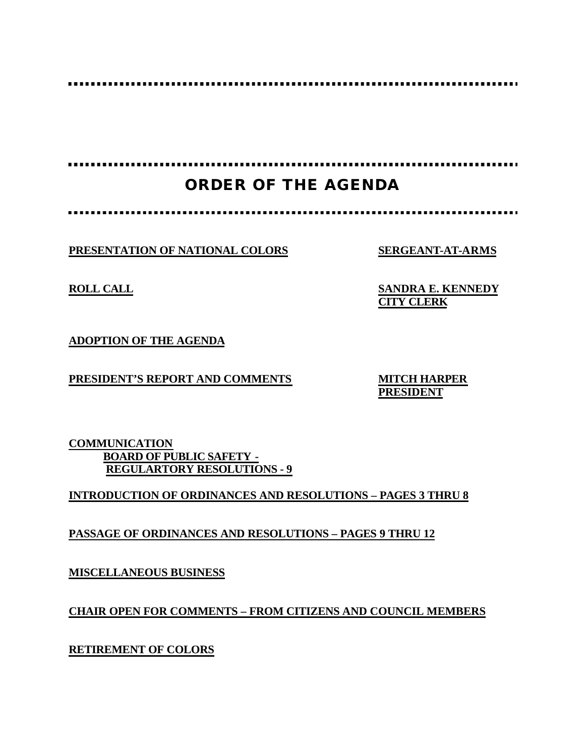.........

. . . . . . . . . . . . . . . . . . .................

# **ORDER OF THE AGENDA**

**PRESENTATION OF NATIONAL COLORS SERGEANT-AT-ARMS**

**ROLL CALL SANDRA E. KENNEDY CITY CLERK**

**ADOPTION OF THE AGENDA**

**PRESIDENT'S REPORT AND COMMENTS MITCH HARPER**

**PRESIDENT**

**COMMUNICATION BOARD OF PUBLIC SAFETY - REGULARTORY RESOLUTIONS - 9**

**INTRODUCTION OF ORDINANCES AND RESOLUTIONS – PAGES 3 THRU 8**

**PASSAGE OF ORDINANCES AND RESOLUTIONS – PAGES 9 THRU 12**

**MISCELLANEOUS BUSINESS**

**CHAIR OPEN FOR COMMENTS – FROM CITIZENS AND COUNCIL MEMBERS**

**RETIREMENT OF COLORS**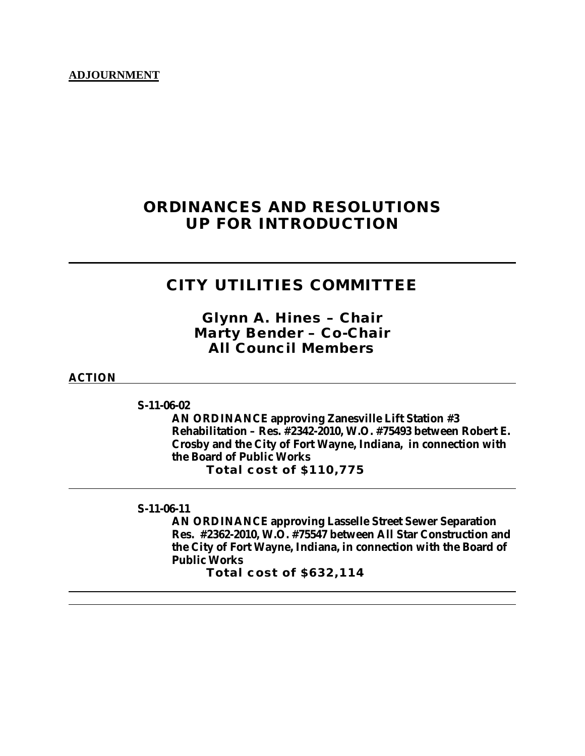#### **ADJOURNMENT**

# **ORDINANCES AND RESOLUTIONS UP FOR INTRODUCTION**

# **CITY UTILITIES COMMITTEE**

*Glynn A. Hines – Chair Marty Bender – Co-Chair All Council Members*

#### **ACTION**

**S-11-06-02**

**AN ORDINANCE approving Zanesville Lift Station #3 Rehabilitation – Res. #2342-2010, W.O. #75493 between Robert E. Crosby and the City of Fort Wayne, Indiana, in connection with the Board of Public Works Total cost of \$110,775**

**S-11-06-11**

**AN ORDINANCE approving Lasselle Street Sewer Separation Res. #2362-2010, W.O. #75547 between All Star Construction and the City of Fort Wayne, Indiana, in connection with the Board of Public Works**

**Total cost of \$632,114**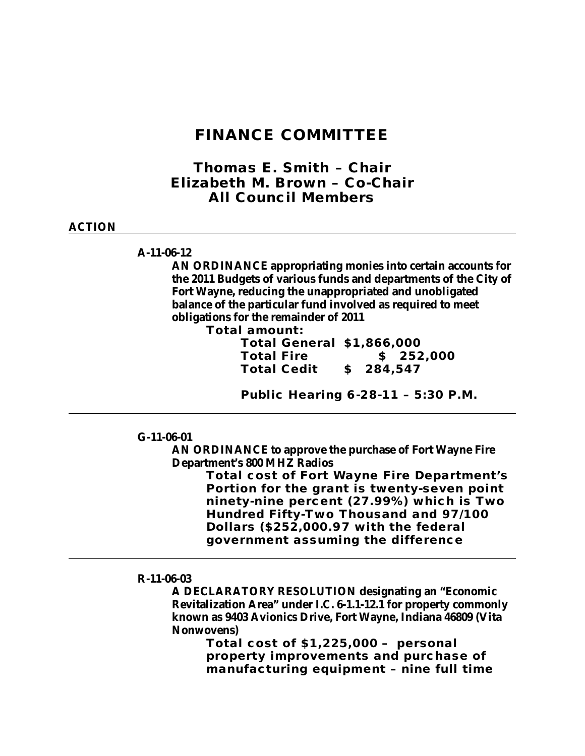### **FINANCE COMMITTEE**

*Thomas E. Smith – Chair Elizabeth M. Brown – Co-Chair All Council Members*

#### **ACTION**

#### **A-11-06-12**

**AN ORDINANCE appropriating monies into certain accounts for the 2011 Budgets of various funds and departments of the City of Fort Wayne, reducing the unappropriated and unobligated balance of the particular fund involved as required to meet obligations for the remainder of 2011**

**Total amount:**

**Total General \$1,866,000 Total Fire \$ 252,000 Total Cedit \$ 284,547**

**Public Hearing 6-28-11 – 5:30 P.M.**

**G-11-06-01**

**AN ORDINANCE to approve the purchase of Fort Wayne Fire Department's 800 MHZ Radios**

> **Total cost of Fort Wayne Fire Department's Portion for the grant is twenty-seven point ninety-nine percent (27.99%) which is Two Hundred Fifty-Two Thousand and 97/100 Dollars (\$252,000.97 with the federal government assuming the difference**

#### **R-11-06-03**

**A DECLARATORY RESOLUTION designating an "Economic Revitalization Area" under I.C. 6-1.1-12.1 for property commonly known as 9403 Avionics Drive, Fort Wayne, Indiana 46809 (Vita Nonwovens)**

> **Total cost of \$1,225,000 – personal property improvements and purchase of manufacturing equipment – nine full time**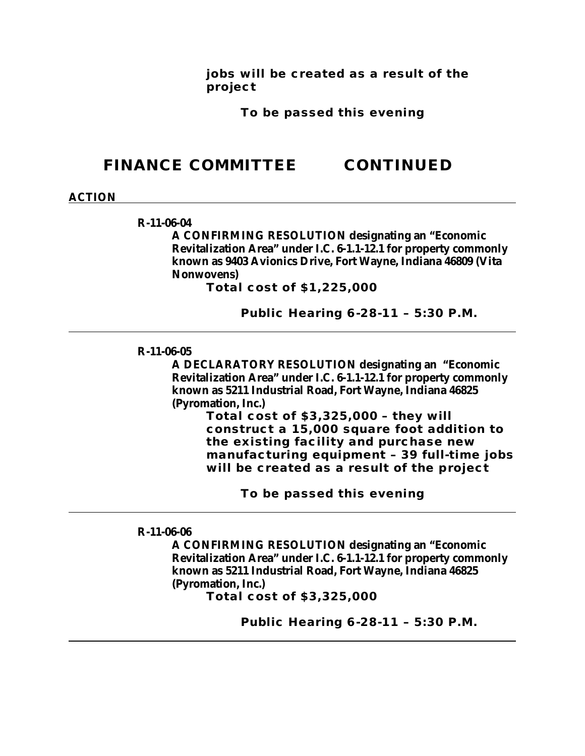**jobs will be created as a result of the project**

**To be passed this evening**

# **FINANCE COMMITTEE CONTINUED**

#### **ACTION**

#### **R-11-06-04**

**A CONFIRMING RESOLUTION designating an "Economic Revitalization Area" under I.C. 6-1.1-12.1 for property commonly known as 9403 Avionics Drive, Fort Wayne, Indiana 46809 (Vita Nonwovens)**

**Total cost of \$1,225,000**

**Public Hearing 6-28-11 – 5:30 P.M.**

#### **R-11-06-05**

**A DECLARATORY RESOLUTION designating an "Economic Revitalization Area" under I.C. 6-1.1-12.1 for property commonly known as 5211 Industrial Road, Fort Wayne, Indiana 46825 (Pyromation, Inc.)**

> **Total cost of \$3,325,000 – they will construct a 15,000 square foot addition to the existing facility and purchase new manufacturing equipment – 39 full-time jobs will be created as a result of the project**

> > **To be passed this evening**

**R-11-06-06**

**A CONFIRMING RESOLUTION designating an "Economic Revitalization Area" under I.C. 6-1.1-12.1 for property commonly known as 5211 Industrial Road, Fort Wayne, Indiana 46825 (Pyromation, Inc.)**

**Total cost of \$3,325,000**

**Public Hearing 6-28-11 – 5:30 P.M.**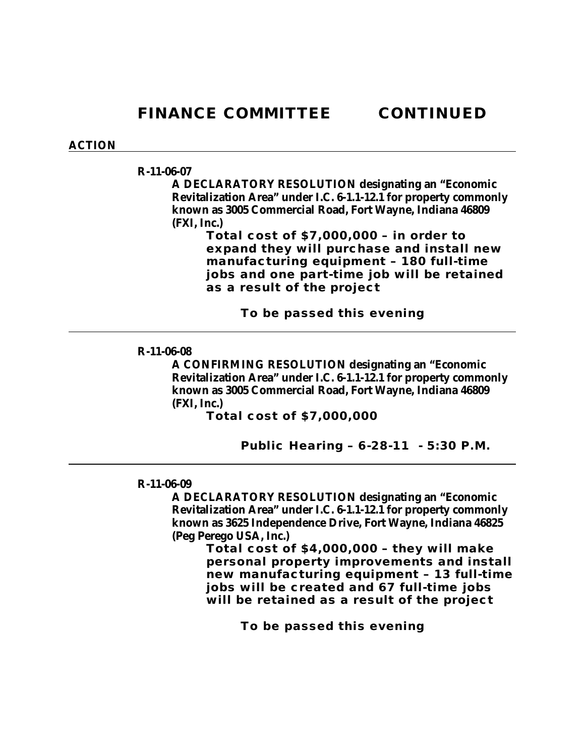#### **ACTION**

#### **R-11-06-07**

**A DECLARATORY RESOLUTION designating an "Economic Revitalization Area" under I.C. 6-1.1-12.1 for property commonly known as 3005 Commercial Road, Fort Wayne, Indiana 46809 (FXI, Inc.)**

> **Total cost of \$7,000,000 – in order to expand they will purchase and install new manufacturing equipment – 180 full-time jobs and one part-time job will be retained as a result of the project**

> > **To be passed this evening**

#### **R-11-06-08**

**A CONFIRMING RESOLUTION designating an "Economic Revitalization Area" under I.C. 6-1.1-12.1 for property commonly known as 3005 Commercial Road, Fort Wayne, Indiana 46809 (FXI, Inc.)**

**Total cost of \$7,000,000** 

**Public Hearing – 6-28-11 - 5:30 P.M.**

#### **R-11-06-09**

**A DECLARATORY RESOLUTION designating an "Economic Revitalization Area" under I.C. 6-1.1-12.1 for property commonly known as 3625 Independence Drive, Fort Wayne, Indiana 46825 (Peg Perego USA, Inc.)**

**Total cost of \$4,000,000 – they will make personal property improvements and install new manufacturing equipment – 13 full-time jobs will be created and 67 full-time jobs will be retained as a result of the project**

**To be passed this evening**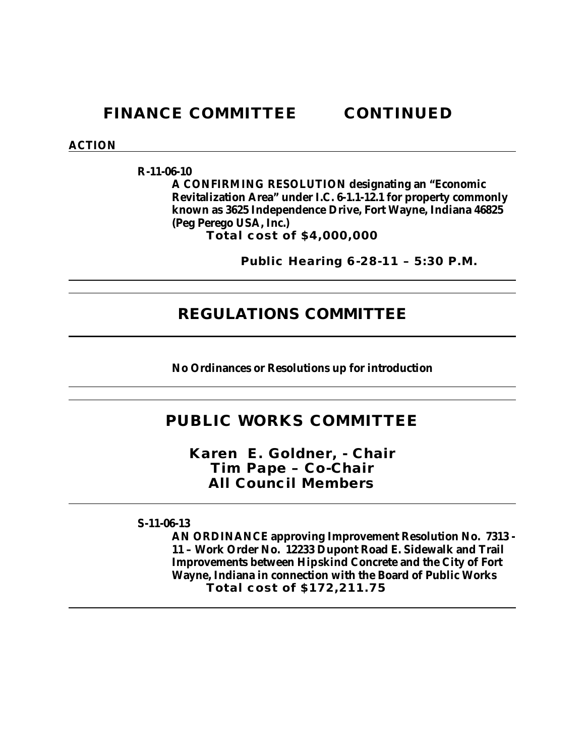#### **ACTION**

**R-11-06-10**

**A CONFIRMING RESOLUTION designating an "Economic Revitalization Area" under I.C. 6-1.1-12.1 for property commonly known as 3625 Independence Drive, Fort Wayne, Indiana 46825 (Peg Perego USA, Inc.)**

**Total cost of \$4,000,000** 

**Public Hearing 6-28-11 – 5:30 P.M.**

### **REGULATIONS COMMITTEE**

**No Ordinances or Resolutions up for introduction**

# **PUBLIC WORKS COMMITTEE**

*Karen E. Goldner, - Chair Tim Pape – Co-Chair All Council Members*

**S-11-06-13**

**AN ORDINANCE approving Improvement Resolution No. 7313 - 11 – Work Order No. 12233 Dupont Road E. Sidewalk and Trail Improvements between Hipskind Concrete and the City of Fort Wayne, Indiana in connection with the Board of Public Works Total cost of \$172,211.75**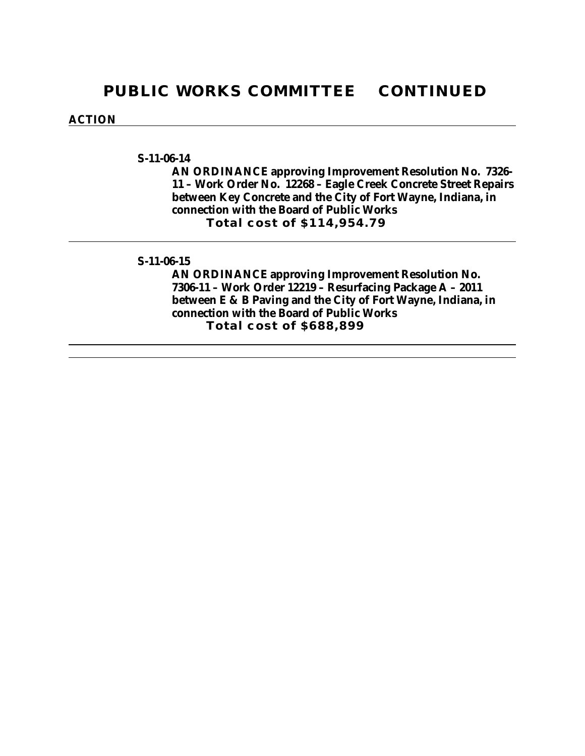#### **ACTION**

#### **S-11-06-14**

**AN ORDINANCE approving Improvement Resolution No. 7326- 11 – Work Order No. 12268 – Eagle Creek Concrete Street Repairs between Key Concrete and the City of Fort Wayne, Indiana, in connection with the Board of Public Works Total cost of \$114,954.79**

#### **S-11-06-15**

**AN ORDINANCE approving Improvement Resolution No. 7306-11 – Work Order 12219 – Resurfacing Package A – 2011 between E & B Paving and the City of Fort Wayne, Indiana, in connection with the Board of Public Works Total cost of \$688,899**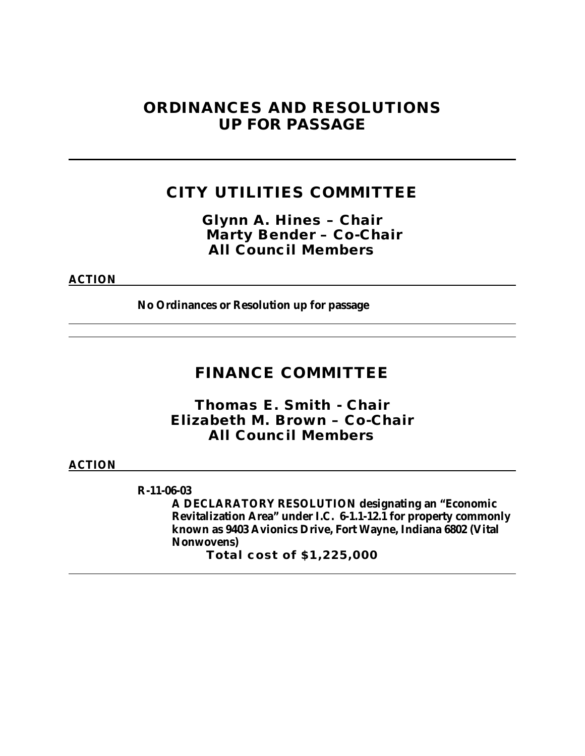# **ORDINANCES AND RESOLUTIONS UP FOR PASSAGE**

# **CITY UTILITIES COMMITTEE**

*Glynn A. Hines – Chair Marty Bender – Co-Chair All Council Members*

**ACTION**

**No Ordinances or Resolution up for passage**

# **FINANCE COMMITTEE**

*Thomas E. Smith - Chair Elizabeth M. Brown – Co-Chair All Council Members*

**ACTION**

**R-11-06-03**

**A DECLARATORY RESOLUTION designating an "Economic Revitalization Area" under I.C. 6-1.1-12.1 for property commonly known as 9403 Avionics Drive, Fort Wayne, Indiana 6802 (Vital Nonwovens)**

**Total cost of \$1,225,000**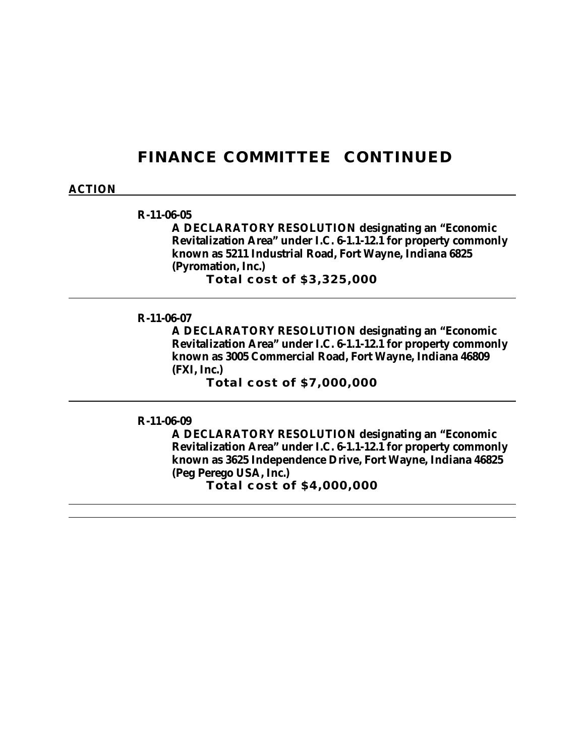#### **ACTION**

#### **R-11-06-05**

**A DECLARATORY RESOLUTION designating an "Economic Revitalization Area" under I.C. 6-1.1-12.1 for property commonly known as 5211 Industrial Road, Fort Wayne, Indiana 6825 (Pyromation, Inc.) Total cost of \$3,325,000**

**R-11-06-07**

**A DECLARATORY RESOLUTION designating an "Economic Revitalization Area" under I.C. 6-1.1-12.1 for property commonly known as 3005 Commercial Road, Fort Wayne, Indiana 46809 (FXI, Inc.)**

**Total cost of \$7,000,000**

**R-11-06-09**

**A DECLARATORY RESOLUTION designating an "Economic Revitalization Area" under I.C. 6-1.1-12.1 for property commonly known as 3625 Independence Drive, Fort Wayne, Indiana 46825 (Peg Perego USA, Inc.)**

**Total cost of \$4,000,000**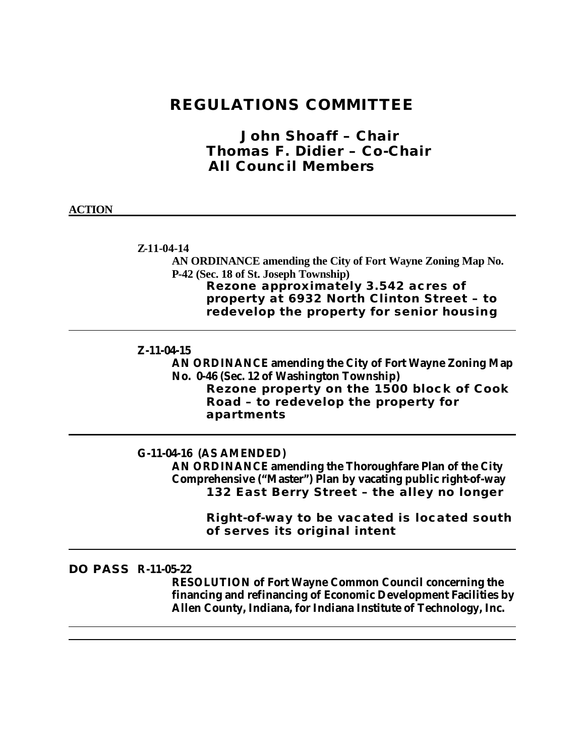# **REGULATIONS COMMITTEE**

*John Shoaff – Chair Thomas F. Didier – Co-Chair All Council Members*

#### **ACTION**

**Z-11-04-14**

**AN ORDINANCE amending the City of Fort Wayne Zoning Map No. P-42 (Sec. 18 of St. Joseph Township) Rezone approximately 3.542 acres of property at 6932 North Clinton Street – to redevelop the property for senior housing**

#### **Z-11-04-15**

**AN ORDINANCE amending the City of Fort Wayne Zoning Map No. 0-46 (Sec. 12 of Washington Township)**

**Rezone property on the 1500 block of Cook Road – to redevelop the property for apartments**

#### **G-11-04-16 (AS AMENDED)**

**AN ORDINANCE amending the Thoroughfare Plan of the City Comprehensive ("Master") Plan by vacating public right-of-way 132 East Berry Street – the alley no longer**

> **Right-of-way to be vacated is located south of serves its original intent**

### **DO PASS R-11-05-22**

**RESOLUTION of Fort Wayne Common Council concerning the financing and refinancing of Economic Development Facilities by Allen County, Indiana, for Indiana Institute of Technology, Inc.**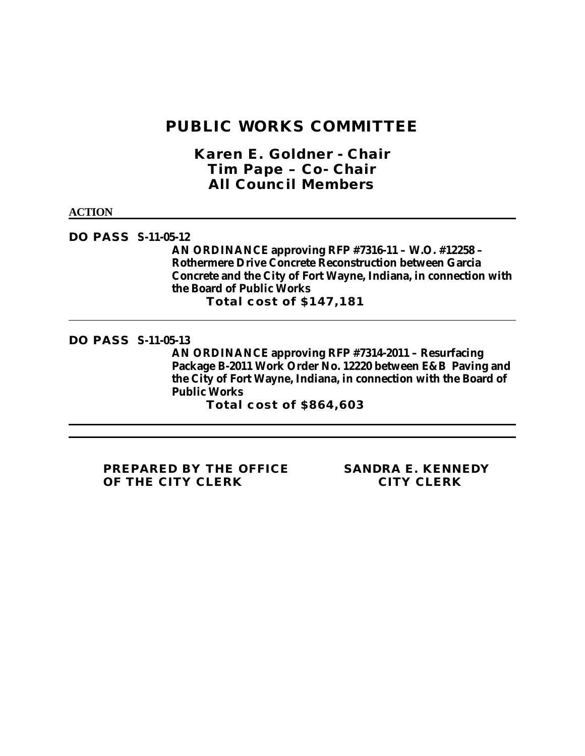# **PUBLIC WORKS COMMITTEE**

*Karen E. Goldner - Chair Tim Pape – Co- Chair All Council Members*

**ACTION**

**DO PASS S-11-05-12 AN ORDINANCE approving RFP #7316-11 – W.O. #12258 – Rothermere Drive Concrete Reconstruction between Garcia Concrete and the City of Fort Wayne, Indiana, in connection with the Board of Public Works Total cost of \$147,181**

**DO PASS S-11-05-13**

**AN ORDINANCE approving RFP #7314-2011 – Resurfacing Package B-2011 Work Order No. 12220 between E&B Paving and the City of Fort Wayne, Indiana, in connection with the Board of Public Works** 

**Total cost of \$864,603**

**PREPARED BY THE OFFICE SANDRA E. KENNEDY OF THE CITY CLERK CITY CLERK**